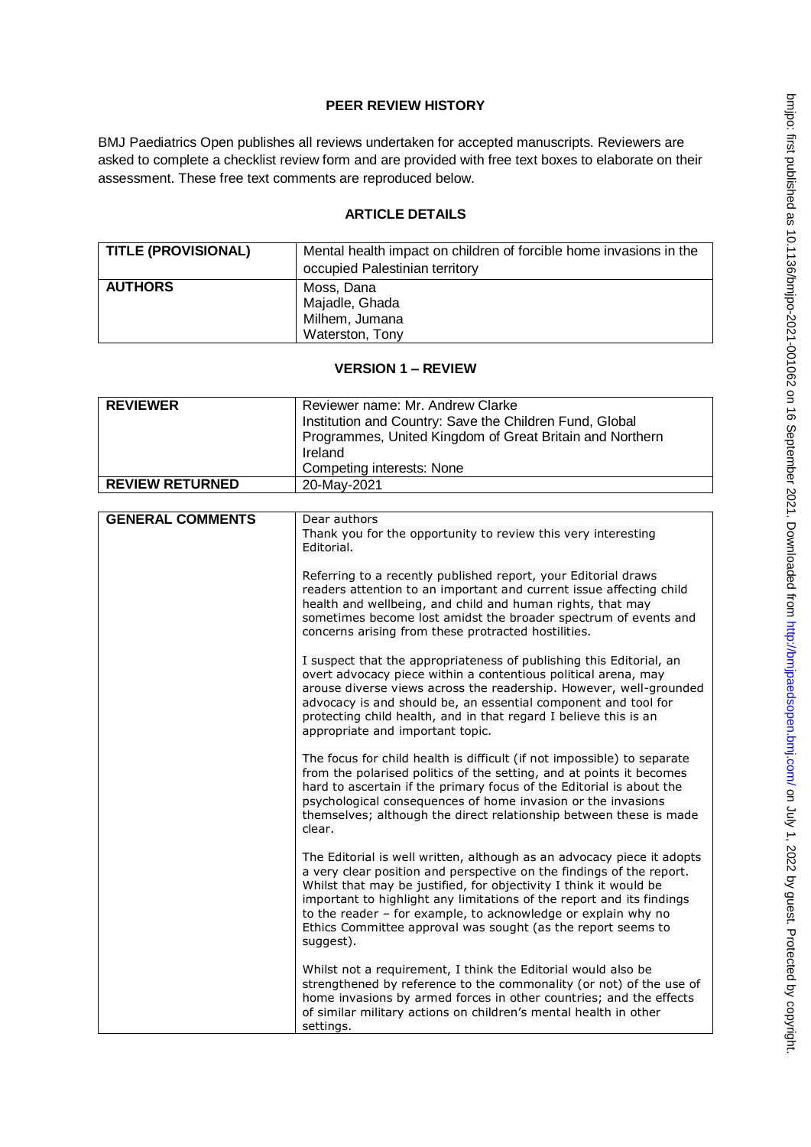## **PEER REVIEW HISTORY**

BMJ Paediatrics Open publishes all reviews undertaken for accepted manuscripts. Reviewers are asked to complete a checklist review form and are provided with free text boxes to elaborate on their assessment. These free text comments are reproduced below.

## **ARTICLE DETAILS**

| <b>TITLE (PROVISIONAL)</b> | Mental health impact on children of forcible home invasions in the<br>occupied Palestinian territory |
|----------------------------|------------------------------------------------------------------------------------------------------|
| <b>AUTHORS</b>             | Moss, Dana<br>Majadle, Ghada<br>Milhem, Jumana<br>Waterston, Tony                                    |

## **VERSION 1 – REVIEW**

| <b>REVIEWER</b>         | Reviewer name: Mr. Andrew Clarke                                                                                                                                                                                                                                                                                                                                                                                                           |
|-------------------------|--------------------------------------------------------------------------------------------------------------------------------------------------------------------------------------------------------------------------------------------------------------------------------------------------------------------------------------------------------------------------------------------------------------------------------------------|
|                         | Institution and Country: Save the Children Fund, Global                                                                                                                                                                                                                                                                                                                                                                                    |
|                         | Programmes, United Kingdom of Great Britain and Northern                                                                                                                                                                                                                                                                                                                                                                                   |
|                         | Ireland                                                                                                                                                                                                                                                                                                                                                                                                                                    |
|                         | Competing interests: None                                                                                                                                                                                                                                                                                                                                                                                                                  |
| <b>REVIEW RETURNED</b>  | 20-May-2021                                                                                                                                                                                                                                                                                                                                                                                                                                |
|                         |                                                                                                                                                                                                                                                                                                                                                                                                                                            |
| <b>GENERAL COMMENTS</b> | Dear authors                                                                                                                                                                                                                                                                                                                                                                                                                               |
|                         | Thank you for the opportunity to review this very interesting<br>Editorial.                                                                                                                                                                                                                                                                                                                                                                |
|                         |                                                                                                                                                                                                                                                                                                                                                                                                                                            |
|                         | Referring to a recently published report, your Editorial draws<br>readers attention to an important and current issue affecting child<br>health and wellbeing, and child and human rights, that may<br>sometimes become lost amidst the broader spectrum of events and<br>concerns arising from these protracted hostilities.                                                                                                              |
|                         | I suspect that the appropriateness of publishing this Editorial, an<br>overt advocacy piece within a contentious political arena, may<br>arouse diverse views across the readership. However, well-grounded<br>advocacy is and should be, an essential component and tool for<br>protecting child health, and in that regard I believe this is an<br>appropriate and important topic.                                                      |
|                         | The focus for child health is difficult (if not impossible) to separate<br>from the polarised politics of the setting, and at points it becomes<br>hard to ascertain if the primary focus of the Editorial is about the<br>psychological consequences of home invasion or the invasions<br>themselves; although the direct relationship between these is made<br>clear.                                                                    |
|                         | The Editorial is well written, although as an advocacy piece it adopts<br>a very clear position and perspective on the findings of the report.<br>Whilst that may be justified, for objectivity I think it would be<br>important to highlight any limitations of the report and its findings<br>to the reader - for example, to acknowledge or explain why no<br>Ethics Committee approval was sought (as the report seems to<br>suggest). |
|                         | Whilst not a requirement, I think the Editorial would also be<br>strengthened by reference to the commonality (or not) of the use of<br>home invasions by armed forces in other countries; and the effects<br>of similar military actions on children's mental health in other<br>settings.                                                                                                                                                |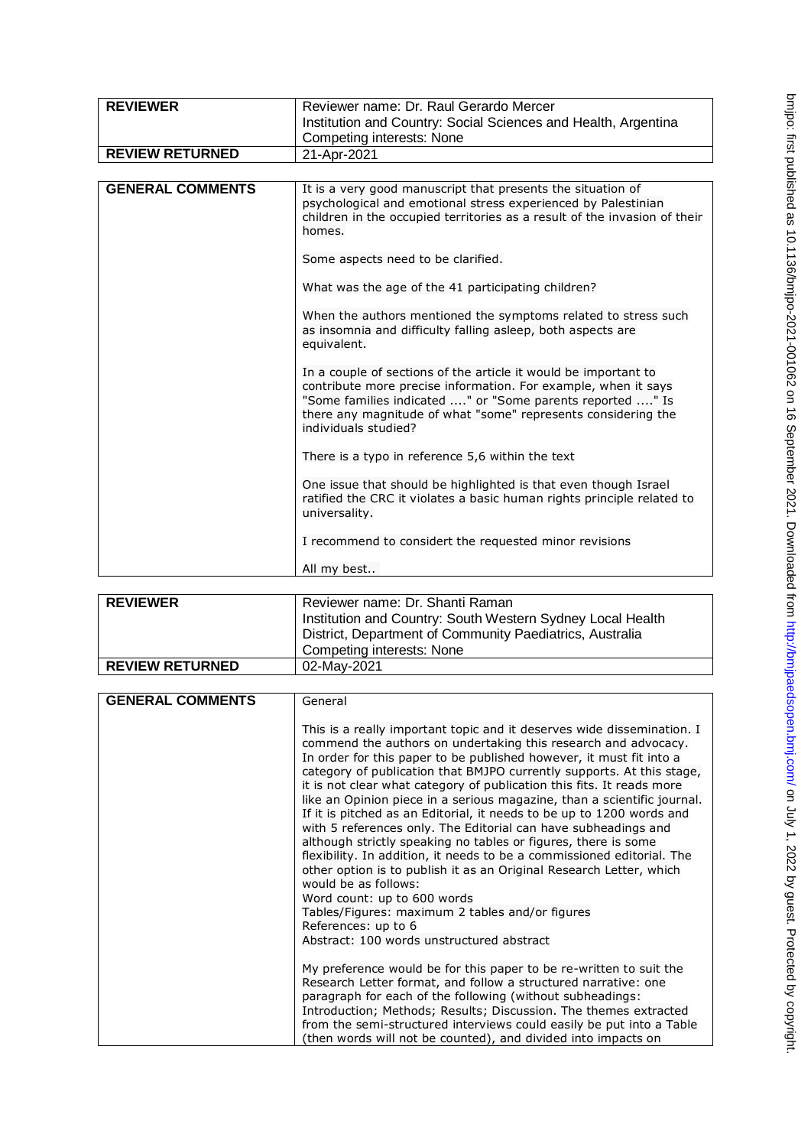| <b>REVIEWER</b>         | Reviewer name: Dr. Raul Gerardo Mercer                                                                                                                                                                                                                                                  |
|-------------------------|-----------------------------------------------------------------------------------------------------------------------------------------------------------------------------------------------------------------------------------------------------------------------------------------|
|                         | Institution and Country: Social Sciences and Health, Argentina                                                                                                                                                                                                                          |
|                         | Competing interests: None                                                                                                                                                                                                                                                               |
| <b>REVIEW RETURNED</b>  | 21-Apr-2021                                                                                                                                                                                                                                                                             |
|                         |                                                                                                                                                                                                                                                                                         |
| <b>GENERAL COMMENTS</b> | It is a very good manuscript that presents the situation of<br>psychological and emotional stress experienced by Palestinian<br>children in the occupied territories as a result of the invasion of their<br>homes.                                                                     |
|                         | Some aspects need to be clarified.                                                                                                                                                                                                                                                      |
|                         | What was the age of the 41 participating children?                                                                                                                                                                                                                                      |
|                         | When the authors mentioned the symptoms related to stress such<br>as insomnia and difficulty falling asleep, both aspects are<br>equivalent.                                                                                                                                            |
|                         | In a couple of sections of the article it would be important to<br>contribute more precise information. For example, when it says<br>"Some families indicated " or "Some parents reported " Is<br>there any magnitude of what "some" represents considering the<br>individuals studied? |
|                         | There is a typo in reference 5,6 within the text                                                                                                                                                                                                                                        |
|                         | One issue that should be highlighted is that even though Israel<br>ratified the CRC it violates a basic human rights principle related to<br>universality.                                                                                                                              |
|                         | I recommend to considert the requested minor revisions                                                                                                                                                                                                                                  |
|                         | All my best                                                                                                                                                                                                                                                                             |

| <b>REVIEWER</b>        | Reviewer name: Dr. Shanti Raman                            |
|------------------------|------------------------------------------------------------|
|                        | Institution and Country: South Western Sydney Local Health |
|                        | District, Department of Community Paediatrics, Australia   |
|                        | Competing interests: None                                  |
| <b>REVIEW RETURNED</b> | 02-May-2021                                                |

| <b>GENERAL COMMENTS</b> | General                                                                                                                                                                                                                                                               |
|-------------------------|-----------------------------------------------------------------------------------------------------------------------------------------------------------------------------------------------------------------------------------------------------------------------|
|                         | This is a really important topic and it deserves wide dissemination. I<br>commend the authors on undertaking this research and advocacy.<br>In order for this paper to be published however, it must fit into a                                                       |
|                         | category of publication that BMJPO currently supports. At this stage,                                                                                                                                                                                                 |
|                         | it is not clear what category of publication this fits. It reads more<br>like an Opinion piece in a serious magazine, than a scientific journal.                                                                                                                      |
|                         | If it is pitched as an Editorial, it needs to be up to 1200 words and<br>with 5 references only. The Editorial can have subheadings and<br>although strictly speaking no tables or figures, there is some                                                             |
|                         | flexibility. In addition, it needs to be a commissioned editorial. The<br>other option is to publish it as an Original Research Letter, which<br>would be as follows:                                                                                                 |
|                         | Word count: up to 600 words                                                                                                                                                                                                                                           |
|                         | Tables/Figures: maximum 2 tables and/or figures                                                                                                                                                                                                                       |
|                         | References: up to 6<br>Abstract: 100 words unstructured abstract                                                                                                                                                                                                      |
|                         |                                                                                                                                                                                                                                                                       |
|                         | My preference would be for this paper to be re-written to suit the<br>Research Letter format, and follow a structured narrative: one<br>paragraph for each of the following (without subheadings:<br>Introduction; Methods; Results; Discussion. The themes extracted |
|                         | from the semi-structured interviews could easily be put into a Table<br>(then words will not be counted), and divided into impacts on                                                                                                                                 |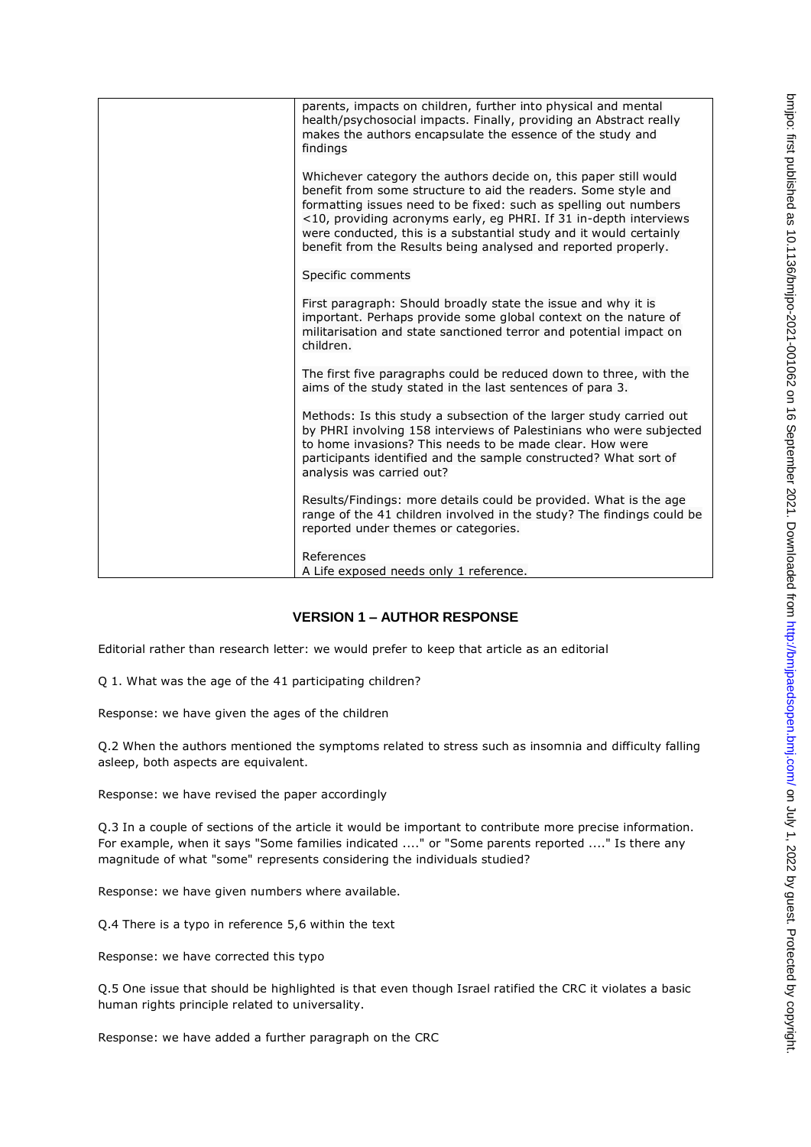| parents, impacts on children, further into physical and mental<br>health/psychosocial impacts. Finally, providing an Abstract really<br>makes the authors encapsulate the essence of the study and<br>findings                                                                                                                                                                                                      |
|---------------------------------------------------------------------------------------------------------------------------------------------------------------------------------------------------------------------------------------------------------------------------------------------------------------------------------------------------------------------------------------------------------------------|
| Whichever category the authors decide on, this paper still would<br>benefit from some structure to aid the readers. Some style and<br>formatting issues need to be fixed: such as spelling out numbers<br><10, providing acronyms early, eg PHRI. If 31 in-depth interviews<br>were conducted, this is a substantial study and it would certainly<br>benefit from the Results being analysed and reported properly. |
| Specific comments                                                                                                                                                                                                                                                                                                                                                                                                   |
| First paragraph: Should broadly state the issue and why it is<br>important. Perhaps provide some global context on the nature of<br>militarisation and state sanctioned terror and potential impact on<br>children.                                                                                                                                                                                                 |
| The first five paragraphs could be reduced down to three, with the<br>aims of the study stated in the last sentences of para 3.                                                                                                                                                                                                                                                                                     |
| Methods: Is this study a subsection of the larger study carried out<br>by PHRI involving 158 interviews of Palestinians who were subjected<br>to home invasions? This needs to be made clear. How were<br>participants identified and the sample constructed? What sort of<br>analysis was carried out?                                                                                                             |
| Results/Findings: more details could be provided. What is the age<br>range of the 41 children involved in the study? The findings could be<br>reported under themes or categories.                                                                                                                                                                                                                                  |
| References<br>A Life exposed needs only 1 reference.                                                                                                                                                                                                                                                                                                                                                                |

## **VERSION 1 – AUTHOR RESPONSE**

Editorial rather than research letter: we would prefer to keep that article as an editorial

Q 1. What was the age of the 41 participating children?

Response: we have given the ages of the children

Q.2 When the authors mentioned the symptoms related to stress such as insomnia and difficulty falling asleep, both aspects are equivalent.

Response: we have revised the paper accordingly

Q.3 In a couple of sections of the article it would be important to contribute more precise information. For example, when it says "Some families indicated ...." or "Some parents reported ...." Is there any magnitude of what "some" represents considering the individuals studied?

Response: we have given numbers where available.

Q.4 There is a typo in reference 5,6 within the text

Response: we have corrected this typo

Q.5 One issue that should be highlighted is that even though Israel ratified the CRC it violates a basic human rights principle related to universality.

Response: we have added a further paragraph on the CRC